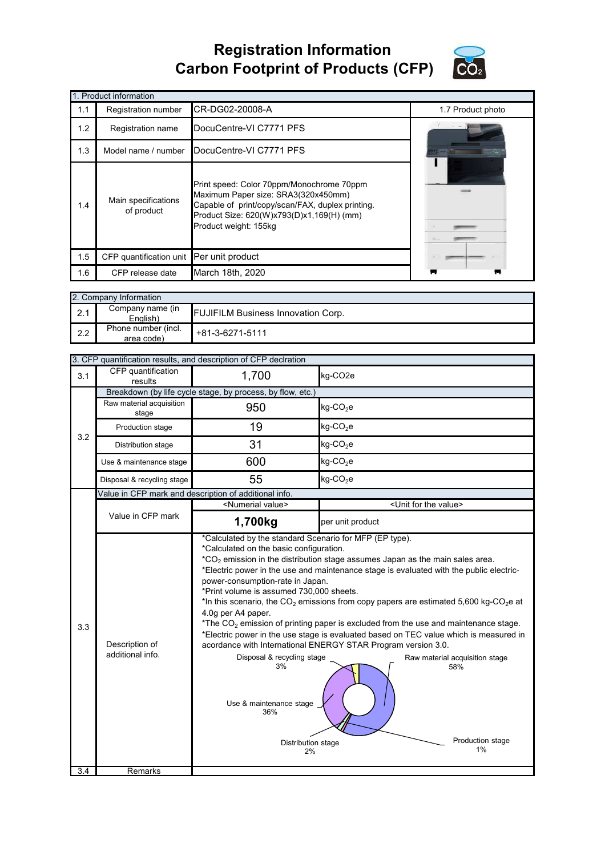## **Registration Information Carbon Footprint of Products (CFP)**



|     | 1. Product information            |                                                                                                                                                                                                            |                   |  |  |
|-----|-----------------------------------|------------------------------------------------------------------------------------------------------------------------------------------------------------------------------------------------------------|-------------------|--|--|
| 1.1 | Registration number               | CR-DG02-20008-A                                                                                                                                                                                            | 1.7 Product photo |  |  |
| 1.2 | Registration name                 | DocuCentre-VI C7771 PFS                                                                                                                                                                                    |                   |  |  |
| 1.3 | Model name / number               | DocuCentre-VI C7771 PFS                                                                                                                                                                                    |                   |  |  |
| 1.4 | Main specifications<br>of product | Print speed: Color 70ppm/Monochrome 70ppm<br>Maximum Paper size: SRA3(320x450mm)<br>Capable of print/copy/scan/FAX, duplex printing.<br>Product Size: 620(W)x793(D)x1,169(H) (mm)<br>Product weight: 155kg |                   |  |  |
| 1.5 | CFP quantification unit           | Per unit product                                                                                                                                                                                           |                   |  |  |
| 1.6 | CFP release date                  | March 18th, 2020                                                                                                                                                                                           |                   |  |  |

|     | 2. Company Information            |                                           |  |  |  |
|-----|-----------------------------------|-------------------------------------------|--|--|--|
| 2.1 | Company name (in<br>English)      | <b>FUJIFILM Business Innovation Corp.</b> |  |  |  |
| 2.2 | Phone number (incl.<br>area code) | $+81-3-6271-5111$                         |  |  |  |

|     | 3. CFP quantification results, and description of CFP declration |                                                                                                                                                                                                                                                                                                            |                                                                                                                                                                                                                                                                                                                                                                                                                                                                                                                                                                                                                   |  |  |
|-----|------------------------------------------------------------------|------------------------------------------------------------------------------------------------------------------------------------------------------------------------------------------------------------------------------------------------------------------------------------------------------------|-------------------------------------------------------------------------------------------------------------------------------------------------------------------------------------------------------------------------------------------------------------------------------------------------------------------------------------------------------------------------------------------------------------------------------------------------------------------------------------------------------------------------------------------------------------------------------------------------------------------|--|--|
| 3.1 | CFP quantification<br>results                                    | 1,700                                                                                                                                                                                                                                                                                                      | kg-CO <sub>2e</sub>                                                                                                                                                                                                                                                                                                                                                                                                                                                                                                                                                                                               |  |  |
|     |                                                                  | Breakdown (by life cycle stage, by process, by flow, etc.)                                                                                                                                                                                                                                                 |                                                                                                                                                                                                                                                                                                                                                                                                                                                                                                                                                                                                                   |  |  |
|     | Raw material acquisition<br>stage                                | 950                                                                                                                                                                                                                                                                                                        | kg-CO <sub>2</sub> e                                                                                                                                                                                                                                                                                                                                                                                                                                                                                                                                                                                              |  |  |
| 3.2 | Production stage                                                 | 19                                                                                                                                                                                                                                                                                                         | $kg$ -CO <sub>2</sub> e                                                                                                                                                                                                                                                                                                                                                                                                                                                                                                                                                                                           |  |  |
|     | Distribution stage                                               | 31                                                                                                                                                                                                                                                                                                         | $kg$ -CO <sub>2</sub> e                                                                                                                                                                                                                                                                                                                                                                                                                                                                                                                                                                                           |  |  |
|     | Use & maintenance stage                                          | 600                                                                                                                                                                                                                                                                                                        | $kg$ -CO <sub>2</sub> e                                                                                                                                                                                                                                                                                                                                                                                                                                                                                                                                                                                           |  |  |
|     | Disposal & recycling stage                                       | 55                                                                                                                                                                                                                                                                                                         | $kg$ -CO <sub>2</sub> e                                                                                                                                                                                                                                                                                                                                                                                                                                                                                                                                                                                           |  |  |
|     |                                                                  | Value in CFP mark and description of additional info.                                                                                                                                                                                                                                                      |                                                                                                                                                                                                                                                                                                                                                                                                                                                                                                                                                                                                                   |  |  |
|     |                                                                  | <numerial value=""></numerial>                                                                                                                                                                                                                                                                             | <unit for="" the="" value=""></unit>                                                                                                                                                                                                                                                                                                                                                                                                                                                                                                                                                                              |  |  |
|     | Value in CFP mark                                                | 1,700kg                                                                                                                                                                                                                                                                                                    | per unit product                                                                                                                                                                                                                                                                                                                                                                                                                                                                                                                                                                                                  |  |  |
| 3.3 | Description of<br>additional info.                               | *Calculated by the standard Scenario for MFP (EP type).<br>*Calculated on the basic configuration.<br>power-consumption-rate in Japan.<br>*Print volume is assumed 730,000 sheets.<br>4.0g per A4 paper.<br>Disposal & recycling stage<br>3%<br>Use & maintenance stage<br>36%<br>Distribution stage<br>2% | $*CO2$ emission in the distribution stage assumes Japan as the main sales area.<br>*Electric power in the use and maintenance stage is evaluated with the public electric-<br>*In this scenario, the CO <sub>2</sub> emissions from copy papers are estimated 5,600 kg-CO <sub>2</sub> e at<br>*The $CO2$ emission of printing paper is excluded from the use and maintenance stage.<br>*Electric power in the use stage is evaluated based on TEC value which is measured in<br>acordance with International ENERGY STAR Program version 3.0.<br>Raw material acquisition stage<br>58%<br>Production stage<br>1% |  |  |
| 3.4 | Remarks                                                          |                                                                                                                                                                                                                                                                                                            |                                                                                                                                                                                                                                                                                                                                                                                                                                                                                                                                                                                                                   |  |  |